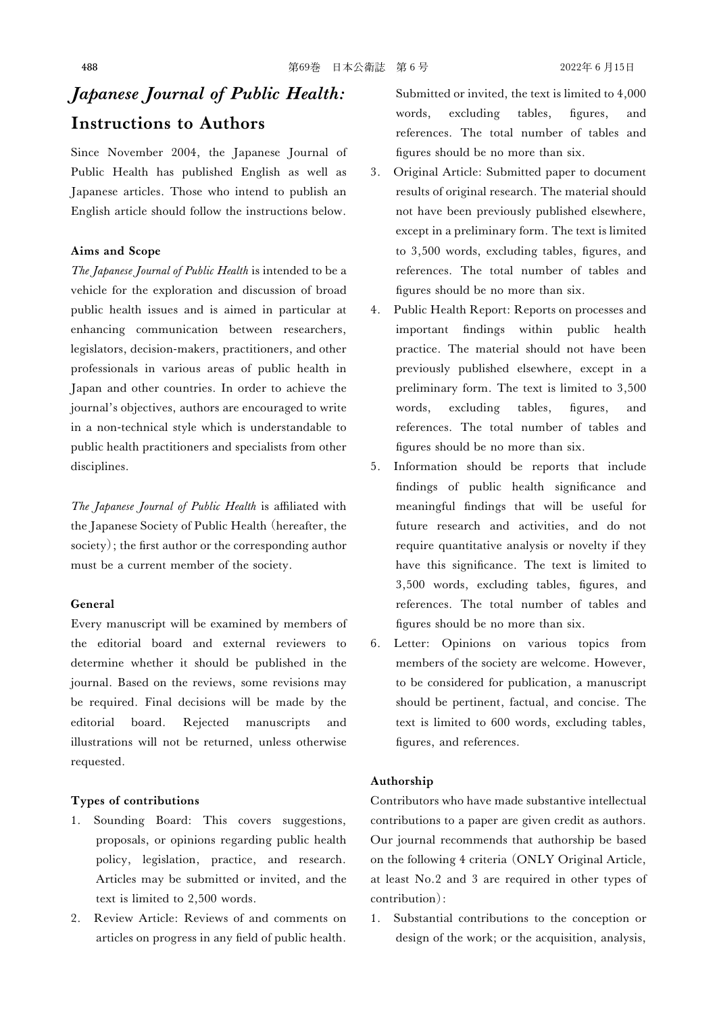# Japanese Journal of Public Health: Instructions to Authors

Since November 2004, the Japanese Journal of Public Health has published English as well as Japanese articles. Those who intend to publish an English article should follow the instructions below.

#### Aims and Scope

The Japanese Journal of Public Health is intended to be a vehicle for the exploration and discussion of broad public health issues and is aimed in particular at enhancing communication between researchers, legislators, decision-makers, practitioners, and other professionals in various areas of public health in Japan and other countries. In order to achieve the journal's objectives, authors are encouraged to write in a non-technical style which is understandable to public health practitioners and specialists from other disciplines.

The Japanese Journal of Public Health is affiliated with the Japanese Society of Public Health (hereafter, the society); the first author or the corresponding author must be a current member of the society.

### General

Every manuscript will be examined by members of the editorial board and external reviewers to determine whether it should be published in the journal. Based on the reviews, some revisions may be required. Final decisions will be made by the editorial board. Rejected manuscripts and illustrations will not be returned, unless otherwise requested.

# Types of contributions

- 1. Sounding Board: This covers suggestions, proposals, or opinions regarding public health policy, legislation, practice, and research. Articles may be submitted or invited, and the text is limited to 2,500 words.
- 2. Review Article: Reviews of and comments on articles on progress in any field of public health.

Submitted or invited, the text is limited to 4,000 words, excluding tables, figures, and references. The total number of tables and figures should be no more than six.

- 3. Original Article: Submitted paper to document results of original research. The material should not have been previously published elsewhere, except in a preliminary form. The text is limited to 3,500 words, excluding tables, figures, and references. The total number of tables and figures should be no more than six.
- 4. Public Health Report: Reports on processes and important findings within public health practice. The material should not have been previously published elsewhere, except in a preliminary form. The text is limited to 3,500 words, excluding tables, figures, and references. The total number of tables and figures should be no more than six.
- 5. Information should be reports that include findings of public health significance and meaningful findings that will be useful for future research and activities, and do not require quantitative analysis or novelty if they have this significance. The text is limited to 3,500 words, excluding tables, figures, and references. The total number of tables and figures should be no more than six.
- 6. Letter: Opinions on various topics from members of the society are welcome. However, to be considered for publication, a manuscript should be pertinent, factual, and concise. The text is limited to 600 words, excluding tables, figures, and references.

# Authorship

Contributors who have made substantive intellectual contributions to a paper are given credit as authors. Our journal recommends that authorship be based on the following 4 criteria (ONLY Original Article, at least No.2 and 3 are required in other types of contribution):

1. Substantial contributions to the conception or design of the work; or the acquisition, analysis,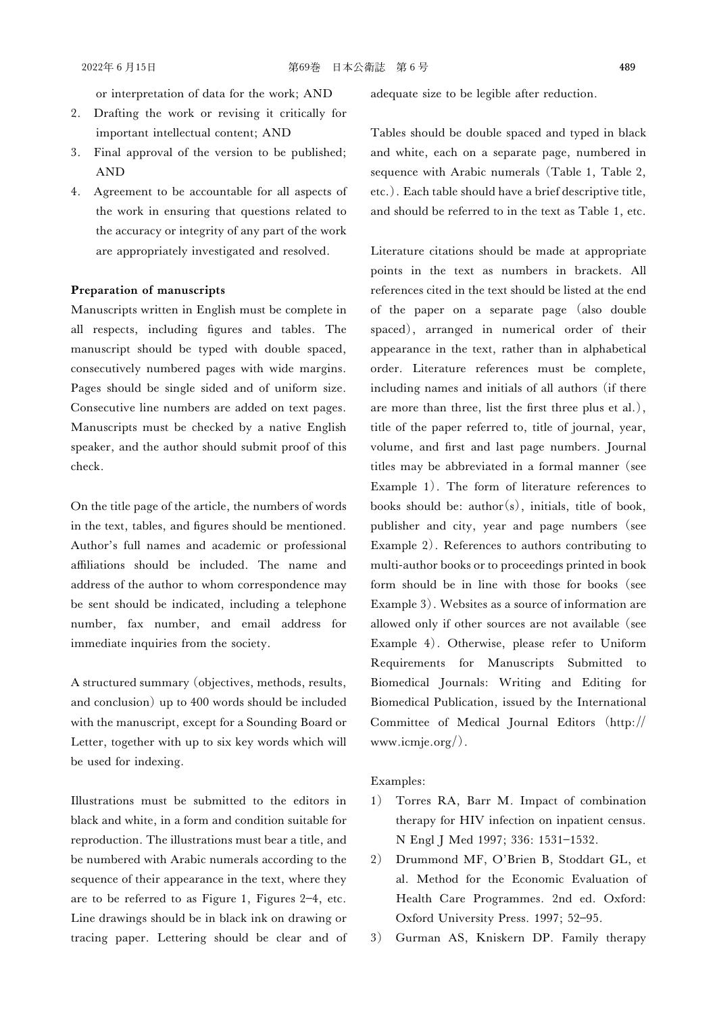or interpretation of data for the work; AND

- 2. Drafting the work or revising it critically for important intellectual content; AND
- 3. Final approval of the version to be published; AND
- 4. Agreement to be accountable for all aspects of the work in ensuring that questions related to the accuracy or integrity of any part of the work are appropriately investigated and resolved.

#### Preparation of manuscripts

Manuscripts written in English must be complete in all respects, including figures and tables. The manuscript should be typed with double spaced, consecutively numbered pages with wide margins. Pages should be single sided and of uniform size. Consecutive line numbers are added on text pages. Manuscripts must be checked by a native English speaker, and the author should submit proof of this check.

On the title page of the article, the numbers of words in the text, tables, and figures should be mentioned. Author's full names and academic or professional affiliations should be included. The name and address of the author to whom correspondence may be sent should be indicated, including a telephone number, fax number, and email address for immediate inquiries from the society.

A structured summary (objectives, methods, results, and conclusion) up to 400 words should be included with the manuscript, except for a Sounding Board or Letter, together with up to six key words which will be used for indexing.

Illustrations must be submitted to the editors in black and white, in a form and condition suitable for reproduction. The illustrations must bear a title, and be numbered with Arabic numerals according to the sequence of their appearance in the text, where they are to be referred to as Figure 1, Figures 2-4, etc. Line drawings should be in black ink on drawing or tracing paper. Lettering should be clear and of

adequate size to be legible after reduction.

Tables should be double spaced and typed in black and white, each on a separate page, numbered in sequence with Arabic numerals (Table 1, Table 2, etc.). Each table should have a brief descriptive title, and should be referred to in the text as Table 1, etc.

Literature citations should be made at appropriate points in the text as numbers in brackets. All references cited in the text should be listed at the end of the paper on a separate page (also double spaced), arranged in numerical order of their appearance in the text, rather than in alphabetical order. Literature references must be complete, including names and initials of all authors (if there are more than three, list the first three plus et al.), title of the paper referred to, title of journal, year, volume, and first and last page numbers. Journal titles may be abbreviated in a formal manner (see Example 1). The form of literature references to books should be:  $\text{author}(s)$ , initials, title of book, publisher and city, year and page numbers (see Example 2). References to authors contributing to multi-author books or to proceedings printed in book form should be in line with those for books (see Example 3). Websites as a source of information are allowed only if other sources are not available (see Example 4). Otherwise, please refer to Uniform Requirements for Manuscripts Submitted to Biomedical Journals: Writing and Editing for Biomedical Publication, issued by the International Committee of Medical Journal Editors (http:// www.icmje.org/).

#### Examples:

- 1) Torres RA, Barr M. Impact of combination therapy for HIV infection on inpatient census. N Engl J Med 1997; 336: 1531-1532.
- 2) Drummond MF, O'Brien B, Stoddart GL, et al. Method for the Economic Evaluation of Health Care Programmes. 2nd ed. Oxford: Oxford University Press. 1997; 52-95.
- 3) Gurman AS, Kniskern DP. Family therapy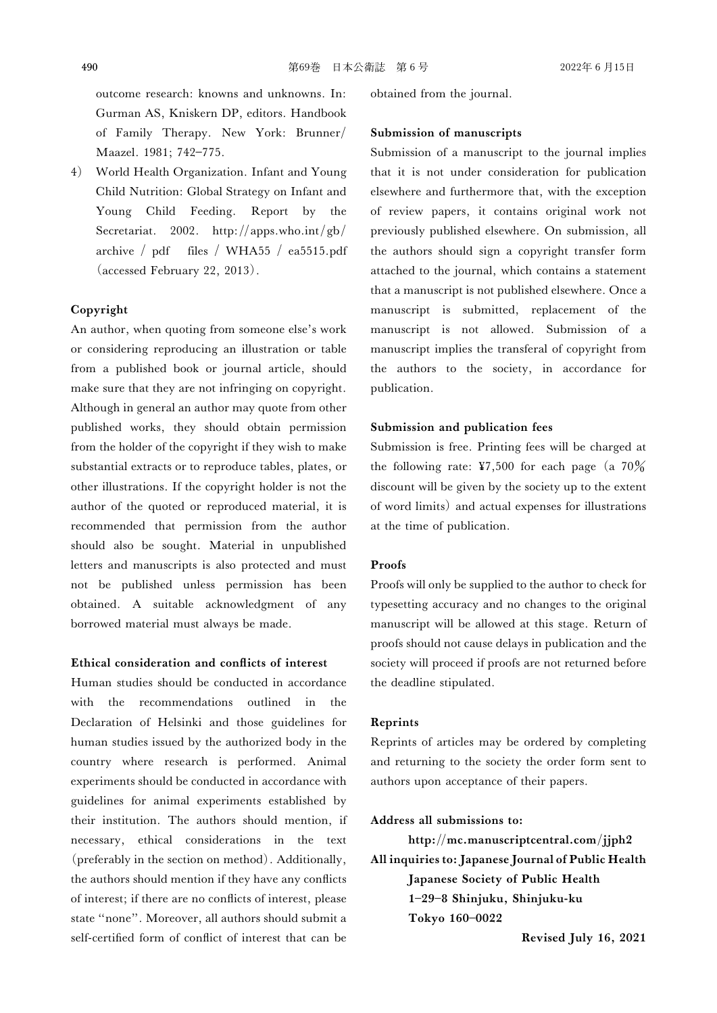outcome research: knowns and unknowns. In: Gurman AS, Kniskern DP, editors. Handbook of Family Therapy. New York: Brunner/ Maazel. 1981; 742-775.

4) World Health Organization. Infant and Young Child Nutrition: Global Strategy on Infant and Young Child Feeding. Report by the Secretariat. 2002. http://apps.who.int/gb/ archive / pdf files / WHA55 / ea5515.pdf (accessed February 22, 2013).

# Copyright

An author, when quoting from someone else's work or considering reproducing an illustration or table from a published book or journal article, should make sure that they are not infringing on copyright. Although in general an author may quote from other published works, they should obtain permission from the holder of the copyright if they wish to make substantial extracts or to reproduce tables, plates, or other illustrations. If the copyright holder is not the author of the quoted or reproduced material, it is recommended that permission from the author should also be sought. Material in unpublished letters and manuscripts is also protected and must not be published unless permission has been obtained. A suitable acknowledgment of any borrowed material must always be made.

#### Ethical consideration and conflicts of interest

Human studies should be conducted in accordance with the recommendations outlined in the Declaration of Helsinki and those guidelines for human studies issued by the authorized body in the country where research is performed. Animal experiments should be conducted in accordance with guidelines for animal experiments established by their institution. The authors should mention, if necessary, ethical considerations in the text (preferably in the section on method). Additionally, the authors should mention if they have any conflicts of interest; if there are no conflicts of interest, please state "none". Moreover, all authors should submit a self-certified form of conflict of interest that can be

obtained from the journal.

# Submission of manuscripts

Submission of a manuscript to the journal implies that it is not under consideration for publication elsewhere and furthermore that, with the exception of review papers, it contains original work not previously published elsewhere. On submission, all the authors should sign a copyright transfer form attached to the journal, which contains a statement that a manuscript is not published elsewhere. Once a manuscript is submitted, replacement of the manuscript is not allowed. Submission of a manuscript implies the transferal of copyright from the authors to the society, in accordance for publication.

# Submission and publication fees

Submission is free. Printing fees will be charged at the following rate: ¥7,500 for each page (a  $70\%$ discount will be given by the society up to the extent of word limits) and actual expenses for illustrations at the time of publication.

# **Proofs**

Proofs will only be supplied to the author to check for typesetting accuracy and no changes to the original manuscript will be allowed at this stage. Return of proofs should not cause delays in publication and the society will proceed if proofs are not returned before the deadline stipulated.

### Reprints

Reprints of articles may be ordered by completing and returning to the society the order form sent to authors upon acceptance of their papers.

#### Address all submissions to:

http://mc.manuscriptcentral.com/jjph2 All inquiries to: Japanese Journal of Public Health Japanese Society of Public Health 1298 Shinjuku, Shinjuku-ku Tokyo 160-0022

Revised July 16, 2021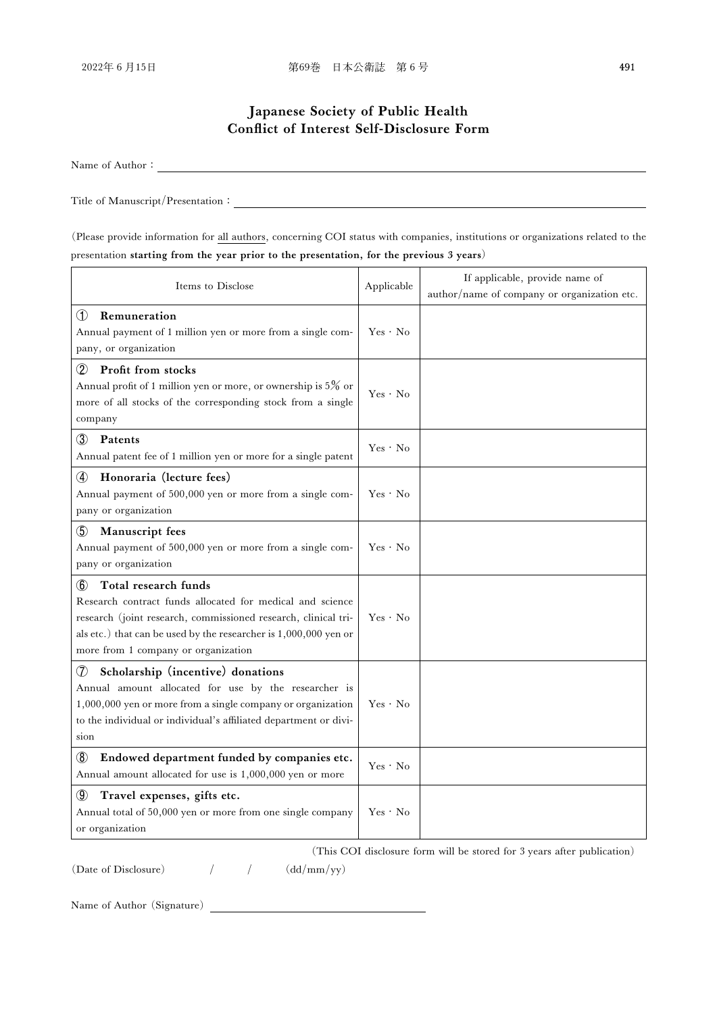# Japanese Society of Public Health Conflict of Interest Self-Disclosure Form

Name of Author

Title of Manuscript/Presentation

(Please provide information for all authors, concerning COI status with companies, institutions or organizations related to the presentation starting from the year prior to the presentation, for the previous 3 years)

| Items to Disclose                                                                                                                                                                                                                                                     | Applicable | If applicable, provide name of<br>author/name of company or organization etc. |
|-----------------------------------------------------------------------------------------------------------------------------------------------------------------------------------------------------------------------------------------------------------------------|------------|-------------------------------------------------------------------------------|
| $^{\circ}$<br>Remuneration<br>Annual payment of 1 million yen or more from a single com-<br>pany, or organization                                                                                                                                                     | Yes · No   |                                                                               |
| (2)<br>Profit from stocks<br>Annual profit of 1 million yen or more, or ownership is $5\%$ or<br>more of all stocks of the corresponding stock from a single<br>company                                                                                               | Yes · No   |                                                                               |
| $\circled{3}$<br>Patents<br>Annual patent fee of 1 million yen or more for a single patent                                                                                                                                                                            | Yes · No   |                                                                               |
| Honoraria (lecture fees)<br>$\circledast$<br>Annual payment of 500,000 yen or more from a single com-<br>pany or organization                                                                                                                                         | Yes · No   |                                                                               |
| $\circledS$<br>Manuscript fees<br>Annual payment of 500,000 yen or more from a single com-<br>pany or organization                                                                                                                                                    | Yes · No   |                                                                               |
| Total research funds<br>(6)<br>Research contract funds allocated for medical and science<br>research (joint research, commissioned research, clinical tri-<br>als etc.) that can be used by the researcher is 1,000,000 yen or<br>more from 1 company or organization | Yes · No   |                                                                               |
| ⑦<br>Scholarship (incentive) donations<br>Annual amount allocated for use by the researcher is<br>1,000,000 yen or more from a single company or organization<br>to the individual or individual's affiliated department or divi-<br>sion                             | Yes · No   |                                                                               |
| $^{\circledR}$<br>Endowed department funded by companies etc.<br>Annual amount allocated for use is 1,000,000 yen or more                                                                                                                                             | Yes · No   |                                                                               |
| $\circled{0}$<br>Travel expenses, gifts etc.<br>Annual total of 50,000 yen or more from one single company<br>or organization                                                                                                                                         | Yes · No   |                                                                               |

(This COI disclosure form will be stored for 3 years after publication)

(Date of Disclosure)  $/$   $/$   $(dd/mm/yy)$ 

Name of Author (Signature)